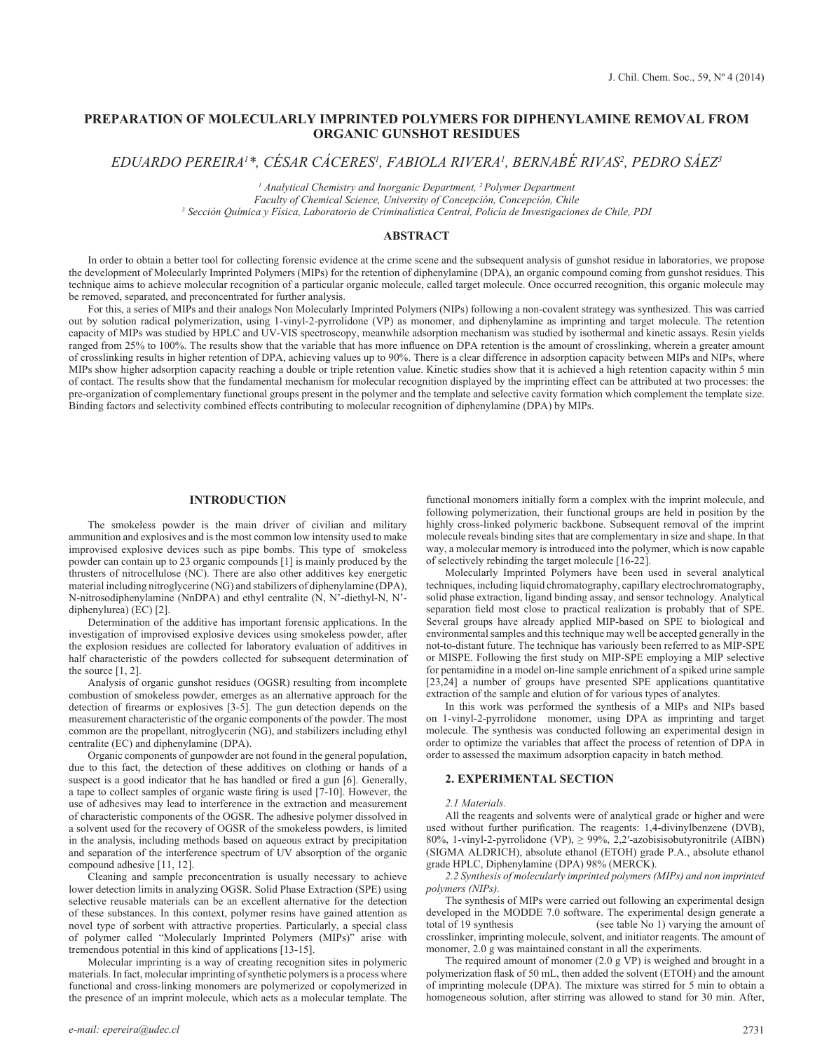# **PREPARATION OF MOLECULARLY IMPRINTED POLYMERS FOR DIPHENYLAMINE REMOVAL FROM ORGANIC GUNSHOT RESIDUES**

*EDUARDO PEREIRA1 \*, CÉSAR CÁCERES1 , FABIOLA RIVERA1 , BERNABÉ RIVAS2 , PEDRO SÁEZ3*

<sup>1</sup> Analytical Chemistry and Inorganic Department, <sup>2</sup> Polymer Department *Faculty of Chemical Science, University of Concepción, Concepción, Chile 3 Sección Química y Física, Laboratorio de Criminalística Central, Policía de Investigaciones de Chile, PDI*

## **ABSTRACT**

In order to obtain a better tool for collecting forensic evidence at the crime scene and the subsequent analysis of gunshot residue in laboratories, we propose the development of Molecularly Imprinted Polymers (MIPs) for the retention of diphenylamine (DPA), an organic compound coming from gunshot residues. This technique aims to achieve molecular recognition of a particular organic molecule, called target molecule. Once occurred recognition, this organic molecule may be removed, separated, and preconcentrated for further analysis.

For this, a series of MIPs and their analogs Non Molecularly Imprinted Polymers (NIPs) following a non-covalent strategy was synthesized. This was carried out by solution radical polymerization, using 1-vinyl-2-pyrrolidone (VP) as monomer, and diphenylamine as imprinting and target molecule. The retention capacity of MIPs was studied by HPLC and UV-VIS spectroscopy, meanwhile adsorption mechanism was studied by isothermal and kinetic assays. Resin yields ranged from 25% to 100%. The results show that the variable that has more influence on DPA retention is the amount of crosslinking, wherein a greater amount of crosslinking results in higher retention of DPA, achieving values up to 90%. There is a clear difference in adsorption capacity between MIPs and NIPs, where MIPs show higher adsorption capacity reaching a double or triple retention value. Kinetic studies show that it is achieved a high retention capacity within 5 min of contact. The results show that the fundamental mechanism for molecular recognition displayed by the imprinting effect can be attributed at two processes: the pre-organization of complementary functional groups present in the polymer and the template and selective cavity formation which complement the template size. Binding factors and selectivity combined effects contributing to molecular recognition of diphenylamine (DPA) by MIPs.

### **INTRODUCTION**

The smokeless powder is the main driver of civilian and military ammunition and explosives and is the most common low intensity used to make improvised explosive devices such as pipe bombs. This type of smokeless powder can contain up to 23 organic compounds [1] is mainly produced by the thrusters of nitrocellulose (NC). There are also other additives key energetic material including nitroglycerine (NG) and stabilizers of diphenylamine (DPA), N-nitrosodiphenylamine (NnDPA) and ethyl centralite (N, N'-diethyl-N, N' diphenylurea) (EC) [2].

Determination of the additive has important forensic applications. In the investigation of improvised explosive devices using smokeless powder, after the explosion residues are collected for laboratory evaluation of additives in half characteristic of the powders collected for subsequent determination of the source  $[1, 2]$ .

Analysis of organic gunshot residues (OGSR) resulting from incomplete combustion of smokeless powder, emerges as an alternative approach for the detection of firearms or explosives [3-5]. The gun detection depends on the measurement characteristic of the organic components of the powder. The most common are the propellant, nitroglycerin (NG), and stabilizers including ethyl centralite (EC) and diphenylamine (DPA).

Organic components of gunpowder are not found in the general population, due to this fact, the detection of these additives on clothing or hands of a suspect is a good indicator that he has handled or fired a gun [6]. Generally, a tape to collect samples of organic waste firing is used [7-10]. However, the use of adhesives may lead to interference in the extraction and measurement of characteristic components of the OGSR. The adhesive polymer dissolved in a solvent used for the recovery of OGSR of the smokeless powders, is limited in the analysis, including methods based on aqueous extract by precipitation and separation of the interference spectrum of UV absorption of the organic compound adhesive [11, 12].

Cleaning and sample preconcentration is usually necessary to achieve lower detection limits in analyzing OGSR. Solid Phase Extraction (SPE) using selective reusable materials can be an excellent alternative for the detection of these substances. In this context, polymer resins have gained attention as novel type of sorbent with attractive properties. Particularly, a special class of polymer called "Molecularly Imprinted Polymers (MIPs)" arise with tremendous potential in this kind of applications [13-15].

Molecular imprinting is a way of creating recognition sites in polymeric materials. In fact, molecular imprinting of synthetic polymers is a process where functional and cross-linking monomers are polymerized or copolymerized in the presence of an imprint molecule, which acts as a molecular template. The

*e-mail: epereira@udec.cl*

functional monomers initially form a complex with the imprint molecule, and following polymerization, their functional groups are held in position by the highly cross-linked polymeric backbone. Subsequent removal of the imprint molecule reveals binding sites that are complementary in size and shape. In that way, a molecular memory is introduced into the polymer, which is now capable of selectively rebinding the target molecule [16-22].

Molecularly Imprinted Polymers have been used in several analytical techniques, including liquid chromatography, capillary electrochromatography, solid phase extraction, ligand binding assay, and sensor technology. Analytical separation field most close to practical realization is probably that of SPE. Several groups have already applied MIP-based on SPE to biological and environmental samples and this technique may well be accepted generally in the not-to-distant future. The technique has variously been referred to as MIP-SPE or MISPE. Following the first study on MIP-SPE employing a MIP selective for pentamidine in a model on-line sample enrichment of a spiked urine sample [23,24] a number of groups have presented SPE applications quantitative extraction of the sample and elution of for various types of analytes.

In this work was performed the synthesis of a MIPs and NIPs based on 1-vinyl-2-pyrrolidone monomer, using DPA as imprinting and target molecule. The synthesis was conducted following an experimental design in order to optimize the variables that affect the process of retention of DPA in order to assessed the maximum adsorption capacity in batch method.

### **2. EXPERIMENTAL SECTION**

#### *2.1 Materials.*

All the reagents and solvents were of analytical grade or higher and were used without further purification. The reagents: 1,4-divinylbenzene (DVB), 80%, 1-vinyl-2-pyrrolidone (VP), ≥ 99%, 2,2′-azobisisobutyronitrile (AIBN) (SIGMA ALDRICH), absolute ethanol (ETOH) grade P.A., absolute ethanol grade HPLC, Diphenylamine (DPA) 98% (MERCK).

*2.2 Synthesis of molecularly imprinted polymers (MIPs) and non imprinted polymers (NIPs).*

The synthesis of MIPs were carried out following an experimental design developed in the MODDE 7.0 software. The experimental design generate a total of 19 synthesis (see table No 1) varying the amount of (see table No 1) varying the amount of crosslinker, imprinting molecule, solvent, and initiator reagents. The amount of monomer, 2.0 g was maintained constant in all the experiments.

The required amount of monomer (2.0 g VP) is weighed and brought in a polymerization flask of 50 mL, then added the solvent (ETOH) and the amount of imprinting molecule (DPA). The mixture was stirred for 5 min to obtain a homogeneous solution, after stirring was allowed to stand for 30 min. After,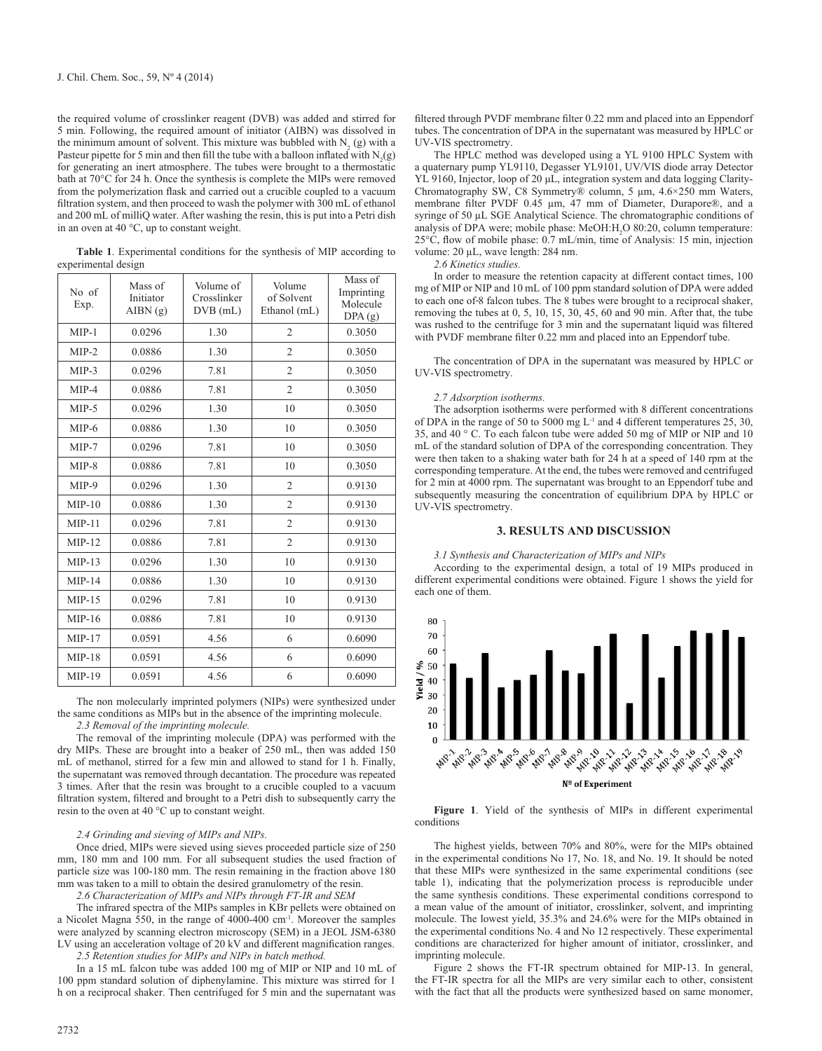the required volume of crosslinker reagent (DVB) was added and stirred for 5 min. Following, the required amount of initiator (AIBN) was dissolved in the minimum amount of solvent. This mixture was bubbled with  $N_2$  (g) with a Pasteur pipette for 5 min and then fill the tube with a balloon inflated with  $N_2(g)$ for generating an inert atmosphere. The tubes were brought to a thermostatic bath at 70°C for 24 h. Once the synthesis is complete the MIPs were removed from the polymerization flask and carried out a crucible coupled to a vacuum filtration system, and then proceed to wash the polymer with 300 mL of ethanol and 200 mL of milliQ water. After washing the resin, this is put into a Petri dish in an oven at 40 °C, up to constant weight.

**Table 1**. Experimental conditions for the synthesis of MIP according to experimental design

| No of<br>Exp. | Mass of<br>Initiator<br>AIBN(g) | Volume of<br>Crosslinker<br>$DVB$ (mL) | Volume<br>of Solvent<br>Ethanol (mL) | Mass of<br>Imprinting<br>Molecule<br>DPA(g) |
|---------------|---------------------------------|----------------------------------------|--------------------------------------|---------------------------------------------|
| $MIP-1$       | 0.0296                          | 1.30                                   | $\overline{2}$                       | 0.3050                                      |
| $MIP-2$       | 0.0886                          | 1.30                                   | $\overline{2}$                       | 0.3050                                      |
| $MIP-3$       | 0.0296                          | 7.81                                   | $\overline{c}$                       | 0.3050                                      |
| $MIP-4$       | 0.0886                          | 7.81                                   | $\overline{c}$                       | 0.3050                                      |
| $MIP-5$       | 0.0296                          | 1.30                                   | 10                                   | 0.3050                                      |
| MIP-6         | 0.0886                          | 1.30                                   | 10                                   | 0.3050                                      |
| $MIP-7$       | 0.0296                          | 7.81                                   | 10                                   | 0.3050                                      |
| $MIP-8$       | 0.0886                          | 7.81                                   | 10                                   | 0.3050                                      |
| MIP-9         | 0.0296                          | 1.30                                   | $\overline{2}$                       | 0.9130                                      |
| $MIP-10$      | 0.0886                          | 1.30                                   | $\overline{2}$                       | 0.9130                                      |
| $MIP-11$      | 0.0296                          | 7.81                                   | $\overline{2}$                       | 0.9130                                      |
| $MIP-12$      | 0.0886                          | 7.81                                   | $\overline{2}$                       | 0.9130                                      |
| $MIP-13$      | 0.0296                          | 1.30                                   | 10                                   | 0.9130                                      |
| $MIP-14$      | 0.0886                          | 1.30                                   | 10                                   | 0.9130                                      |
| $MIP-15$      | 0.0296                          | 7.81                                   | 10                                   | 0.9130                                      |
| $MIP-16$      | 0.0886                          | 7.81                                   | 10                                   | 0.9130                                      |
| $MIP-17$      | 0.0591                          | 4.56                                   | 6                                    | 0.6090                                      |
| $MIP-18$      | 0.0591                          | 4.56                                   | 6                                    | 0.6090                                      |
| $MIP-19$      | 0.0591                          | 4.56                                   | 6                                    | 0.6090                                      |

The non molecularly imprinted polymers (NIPs) were synthesized under the same conditions as MIPs but in the absence of the imprinting molecule.

*2.3 Removal of the imprinting molecule.*

The removal of the imprinting molecule (DPA) was performed with the dry MIPs. These are brought into a beaker of 250 mL, then was added 150 mL of methanol, stirred for a few min and allowed to stand for 1 h. Finally, the supernatant was removed through decantation. The procedure was repeated 3 times. After that the resin was brought to a crucible coupled to a vacuum filtration system, filtered and brought to a Petri dish to subsequently carry the resin to the oven at 40 °C up to constant weight.

### *2.4 Grinding and sieving of MIPs and NIPs.*

Once dried, MIPs were sieved using sieves proceeded particle size of 250 mm, 180 mm and 100 mm. For all subsequent studies the used fraction of particle size was 100-180 mm. The resin remaining in the fraction above 180 mm was taken to a mill to obtain the desired granulometry of the resin.

*2.6 Characterization of MIPs and NIPs through FT-IR and SEM*

The infrared spectra of the MIPs samples in KBr pellets were obtained on a Nicolet Magna 550, in the range of 4000-400 cm-1. Moreover the samples were analyzed by scanning electron microscopy (SEM) in a JEOL JSM-6380 LV using an acceleration voltage of 20 kV and different magnification ranges.

*2.5 Retention studies for MIPs and NIPs in batch method.*

In a 15 mL falcon tube was added 100 mg of MIP or NIP and 10 mL of 100 ppm standard solution of diphenylamine. This mixture was stirred for 1 h on a reciprocal shaker. Then centrifuged for 5 min and the supernatant was

filtered through PVDF membrane filter 0.22 mm and placed into an Eppendorf tubes. The concentration of DPA in the supernatant was measured by HPLC or UV-VIS spectrometry.

The HPLC method was developed using a YL 9100 HPLC System with a quaternary pump YL9110, Degasser YL9101, UV/VIS diode array Detector YL 9160, Injector, loop of 20 μL, integration system and data logging Clarity-Chromatography SW, C8 Symmetry® column, 5 µm, 4.6×250 mm Waters, membrane filter PVDF 0.45 µm, 47 mm of Diameter, Durapore®, and a syringe of 50 µL SGE Analytical Science. The chromatographic conditions of analysis of DPA were; mobile phase: MeOH:H<sub>2</sub>O 80:20, column temperature: 25°C, flow of mobile phase: 0.7 mL/min, time of Analysis: 15 min, injection volume: 20 µL, wave length: 284 nm.

#### *2.6 Kinetics studies.*

In order to measure the retention capacity at different contact times, 100 mg of MIP or NIP and 10 mL of 100 ppm standard solution of DPA were added to each one of 8 falcon tubes. The 8 tubes were brought to a reciprocal shaker, removing the tubes at 0, 5, 10, 15, 30, 45, 60 and 90 min. After that, the tube was rushed to the centrifuge for 3 min and the supernatant liquid was filtered with PVDF membrane filter 0.22 mm and placed into an Eppendorf tube.

The concentration of DPA in the supernatant was measured by HPLC or UV-VIS spectrometry.

## *2.7 Adsorption isotherms.*

The adsorption isotherms were performed with 8 different concentrations of DPA in the range of 50 to 5000 mg L-1 and 4 different temperatures 25, 30, 35, and 40 ° C. To each falcon tube were added 50 mg of MIP or NIP and 10 mL of the standard solution of DPA of the corresponding concentration. They were then taken to a shaking water bath for 24 h at a speed of 140 rpm at the corresponding temperature. At the end, the tubes were removed and centrifuged for 2 min at 4000 rpm. The supernatant was brought to an Eppendorf tube and subsequently measuring the concentration of equilibrium DPA by HPLC or UV-VIS spectrometry.

## **3. RESULTS AND DISCUSSION**

#### *3.1 Synthesis and Characterization of MIPs and NIPs*

According to the experimental design, a total of 19 MIPs produced in different experimental conditions were obtained. Figure 1 shows the yield for each one of them.



**Figure 1**. Yield of the synthesis of MIPs in different experimental conditions

The highest yields, between 70% and 80%, were for the MIPs obtained in the experimental conditions No 17, No. 18, and No. 19. It should be noted that these MIPs were synthesized in the same experimental conditions (see table 1), indicating that the polymerization process is reproducible under the same synthesis conditions. These experimental conditions correspond to a mean value of the amount of initiator, crosslinker, solvent, and imprinting molecule. The lowest yield, 35.3% and 24.6% were for the MIPs obtained in the experimental conditions No. 4 and No 12 respectively. These experimental conditions are characterized for higher amount of initiator, crosslinker, and imprinting molecule.

Figure 2 shows the FT-IR spectrum obtained for MIP-13. In general, the FT-IR spectra for all the MIPs are very similar each to other, consistent with the fact that all the products were synthesized based on same monomer,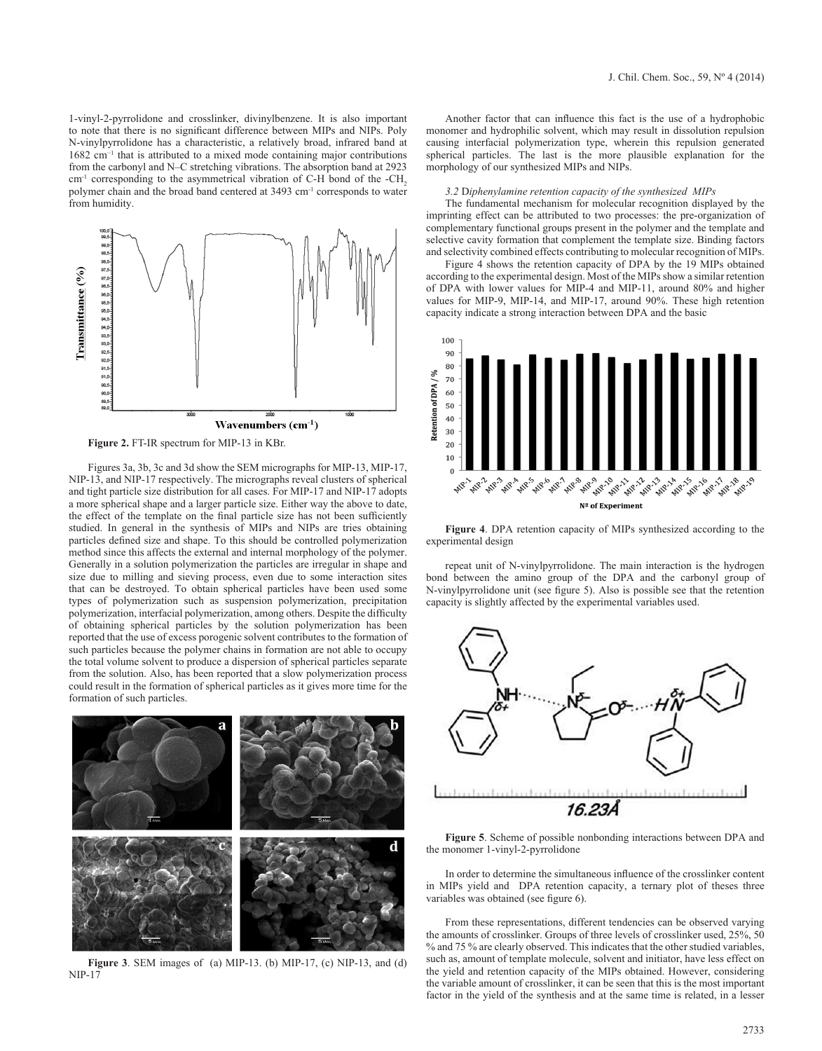1-vinyl-2-pyrrolidone and crosslinker, divinylbenzene. It is also important to note that there is no significant difference between MIPs and NIPs. Poly N-vinylpyrrolidone has a characteristic, a relatively broad, infrared band at 1682 cm−1 that is attributed to a mixed mode containing major contributions from the carbonyl and N–C stretching vibrations. The absorption band at 2923  $cm<sup>-1</sup>$  corresponding to the asymmetrical vibration of C-H bond of the -CH<sub>2</sub> polymer chain and the broad band centered at 3493 cm<sup>-1</sup> corresponds to water from humidity.



**Figure 2.** FT-IR spectrum for MIP-13 in KBr.

Figures 3a, 3b, 3c and 3d show the SEM micrographs for MIP-13, MIP-17, NIP-13, and NIP-17 respectively. The micrographs reveal clusters of spherical and tight particle size distribution for all cases. For MIP-17 and NIP-17 adopts a more spherical shape and a larger particle size. Either way the above to date, the effect of the template on the final particle size has not been sufficiently studied. In general in the synthesis of MIPs and NIPs are tries obtaining particles defined size and shape. To this should be controlled polymerization method since this affects the external and internal morphology of the polymer. Generally in a solution polymerization the particles are irregular in shape and size due to milling and sieving process, even due to some interaction sites that can be destroyed. To obtain spherical particles have been used some types of polymerization such as suspension polymerization, precipitation polymerization, interfacial polymerization, among others. Despite the difficulty of obtaining spherical particles by the solution polymerization has been reported that the use of excess porogenic solvent contributes to the formation of such particles because the polymer chains in formation are not able to occupy the total volume solvent to produce a dispersion of spherical particles separate from the solution. Also, has been reported that a slow polymerization process could result in the formation of spherical particles as it gives more time for the formation of such particles.



**Figure 3**. SEM images of (a) MIP-13. (b) MIP-17, (c) NIP-13, and (d) NIP-17

Another factor that can influence this fact is the use of a hydrophobic monomer and hydrophilic solvent, which may result in dissolution repulsion causing interfacial polymerization type, wherein this repulsion generated spherical particles. The last is the more plausible explanation for the morphology of our synthesized MIPs and NIPs.

#### *3.2* D*iphenylamine retention capacity of the synthesized MIPs*

The fundamental mechanism for molecular recognition displayed by the imprinting effect can be attributed to two processes: the pre-organization of complementary functional groups present in the polymer and the template and selective cavity formation that complement the template size. Binding factors and selectivity combined effects contributing to molecular recognition of MIPs.

Figure 4 shows the retention capacity of DPA by the 19 MIPs obtained according to the experimental design. Most of the MIPs show a similar retention of DPA with lower values for MIP-4 and MIP-11, around 80% and higher values for MIP-9, MIP-14, and MIP-17, around 90%. These high retention capacity indicate a strong interaction between DPA and the basic



**Figure 4**. DPA retention capacity of MIPs synthesized according to the experimental design

repeat unit of N-vinylpyrrolidone. The main interaction is the hydrogen bond between the amino group of the DPA and the carbonyl group of N-vinylpyrrolidone unit (see figure 5). Also is possible see that the retention capacity is slightly affected by the experimental variables used.



**Figure 5**. Scheme of possible nonbonding interactions between DPA and the monomer 1-vinyl-2-pyrrolidone

In order to determine the simultaneous influence of the crosslinker content in MIPs yield and DPA retention capacity, a ternary plot of theses three variables was obtained (see figure 6).

From these representations, different tendencies can be observed varying the amounts of crosslinker. Groups of three levels of crosslinker used, 25%, 50 % and 75 % are clearly observed. This indicates that the other studied variables, such as, amount of template molecule, solvent and initiator, have less effect on the yield and retention capacity of the MIPs obtained. However, considering the variable amount of crosslinker, it can be seen that this is the most important factor in the yield of the synthesis and at the same time is related, in a lesser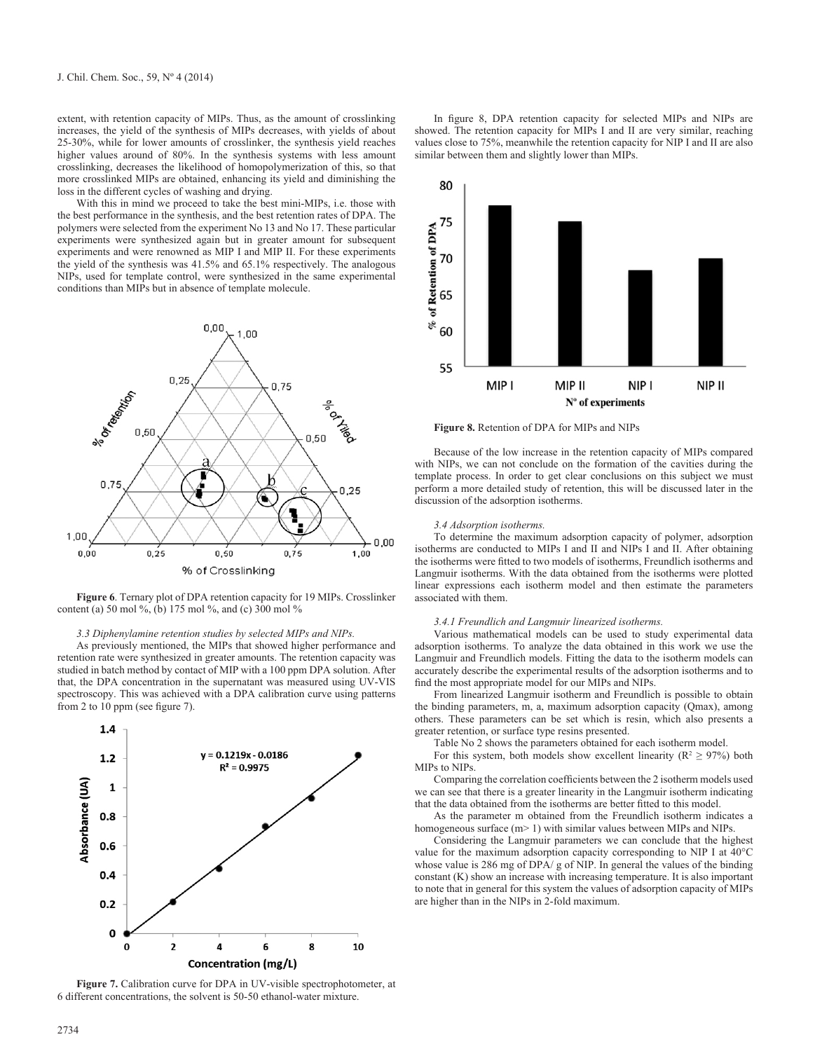extent, with retention capacity of MIPs. Thus, as the amount of crosslinking increases, the yield of the synthesis of MIPs decreases, with yields of about 25-30%, while for lower amounts of crosslinker, the synthesis yield reaches higher values around of 80%. In the synthesis systems with less amount crosslinking, decreases the likelihood of homopolymerization of this, so that more crosslinked MIPs are obtained, enhancing its yield and diminishing the loss in the different cycles of washing and drying.

With this in mind we proceed to take the best mini-MIPs, i.e. those with the best performance in the synthesis, and the best retention rates of DPA. The polymers were selected from the experiment No 13 and No 17. These particular experiments were synthesized again but in greater amount for subsequent experiments and were renowned as MIP I and MIP II. For these experiments the yield of the synthesis was 41.5% and 65.1% respectively. The analogous NIPs, used for template control, were synthesized in the same experimental conditions than MIPs but in absence of template molecule.



**Figure 6**. Ternary plot of DPA retention capacity for 19 MIPs. Crosslinker content (a) 50 mol %, (b) 175 mol %, and (c) 300 mol %

### *3.3 Diphenylamine retention studies by selected MIPs and NIPs.*

As previously mentioned, the MIPs that showed higher performance and retention rate were synthesized in greater amounts. The retention capacity was studied in batch method by contact of MIP with a 100 ppm DPA solution. After that, the DPA concentration in the supernatant was measured using UV-VIS spectroscopy. This was achieved with a DPA calibration curve using patterns from 2 to 10 ppm (see figure 7).



**Figure 7.** Calibration curve for DPA in UV-visible spectrophotometer, at 6 different concentrations, the solvent is 50-50 ethanol-water mixture.

In figure 8, DPA retention capacity for selected MIPs and NIPs are showed. The retention capacity for MIPs I and II are very similar, reaching values close to 75%, meanwhile the retention capacity for NIP I and II are also similar between them and slightly lower than MIPs.



**Figure 8.** Retention of DPA for MIPs and NIPs

Because of the low increase in the retention capacity of MIPs compared with NIPs, we can not conclude on the formation of the cavities during the template process. In order to get clear conclusions on this subject we must perform a more detailed study of retention, this will be discussed later in the discussion of the adsorption isotherms.

### *3.4 Adsorption isotherms.*

To determine the maximum adsorption capacity of polymer, adsorption isotherms are conducted to MIPs I and II and NIPs I and II. After obtaining the isotherms were fitted to two models of isotherms, Freundlich isotherms and Langmuir isotherms. With the data obtained from the isotherms were plotted linear expressions each isotherm model and then estimate the parameters associated with them.

#### *3.4.1 Freundlich and Langmuir linearized isotherms.*

Various mathematical models can be used to study experimental data adsorption isotherms. To analyze the data obtained in this work we use the Langmuir and Freundlich models. Fitting the data to the isotherm models can accurately describe the experimental results of the adsorption isotherms and to find the most appropriate model for our MIPs and NIPs.

From linearized Langmuir isotherm and Freundlich is possible to obtain the binding parameters, m, a, maximum adsorption capacity (Qmax), among others. These parameters can be set which is resin, which also presents a greater retention, or surface type resins presented.

Table No 2 shows the parameters obtained for each isotherm model.

For this system, both models show excellent linearity ( $\mathbb{R}^2 \geq 97\%$ ) both MIPs to NIPs.

Comparing the correlation coefficients between the 2 isotherm models used we can see that there is a greater linearity in the Langmuir isotherm indicating that the data obtained from the isotherms are better fitted to this model.

As the parameter m obtained from the Freundlich isotherm indicates a homogeneous surface (m> 1) with similar values between MIPs and NIPs.

Considering the Langmuir parameters we can conclude that the highest value for the maximum adsorption capacity corresponding to NIP I at 40°C whose value is 286 mg of DPA/g of NIP. In general the values of the binding constant (K) show an increase with increasing temperature. It is also important to note that in general for this system the values of adsorption capacity of MIPs are higher than in the NIPs in 2-fold maximum.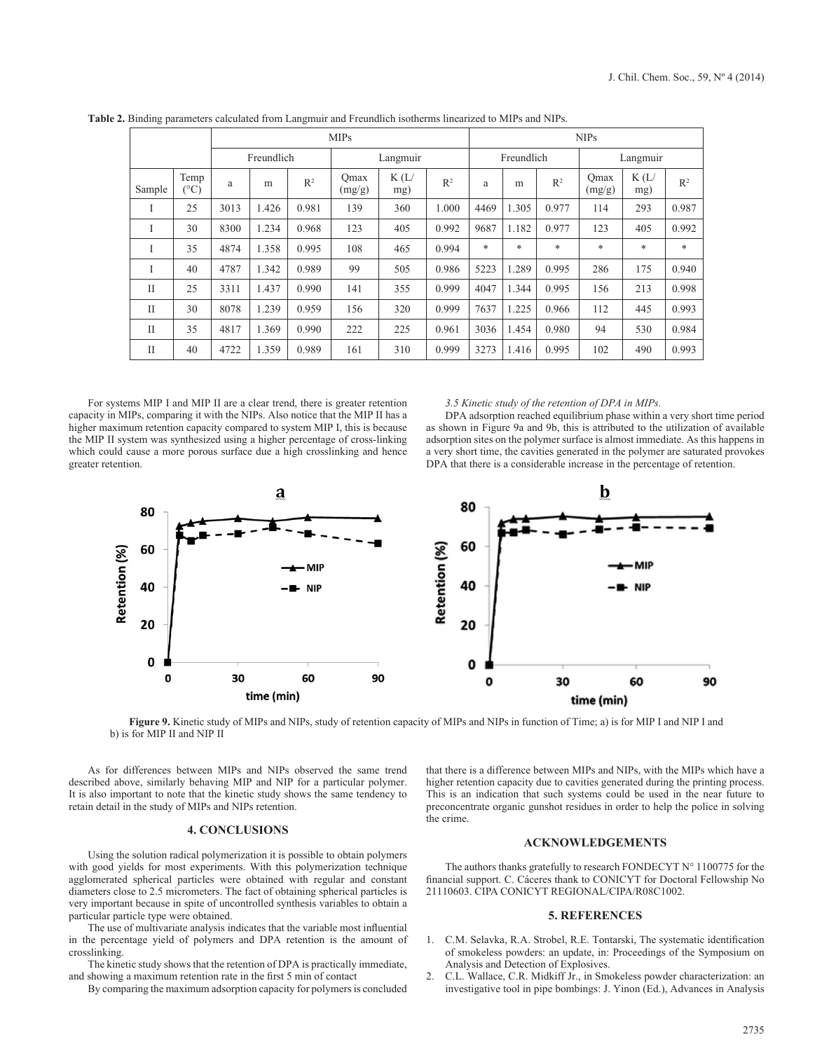|              |                       | <b>MIPs</b> |       |                |                |             |       | <b>NIPs</b> |       |       |                |             |                |
|--------------|-----------------------|-------------|-------|----------------|----------------|-------------|-------|-------------|-------|-------|----------------|-------------|----------------|
|              |                       |             |       | Freundlich     |                | Langmuir    |       | Freundlich  |       |       | Langmuir       |             |                |
| Sample       | Temp<br>$(^{\circ}C)$ | a           | m     | R <sup>2</sup> | Omax<br>(mg/g) | K(L)<br>mg) | $R^2$ | a           | m     | $R^2$ | Omax<br>(mg/g) | K(L)<br>mg) | R <sup>2</sup> |
| 1            | 25                    | 3013        | 1.426 | 0.981          | 139            | 360         | 1.000 | 4469        | 1.305 | 0.977 | 114            | 293         | 0.987          |
| T            | 30                    | 8300        | 1.234 | 0.968          | 123            | 405         | 0.992 | 9687        | 1.182 | 0.977 | 123            | 405         | 0.992          |
|              | 35                    | 4874        | 1.358 | 0.995          | 108            | 465         | 0.994 | *           | *     | *     | $\ast$         | *           | *              |
| I            | 40                    | 4787        | 1.342 | 0.989          | 99             | 505         | 0.986 | 5223        | 1.289 | 0.995 | 286            | 175         | 0.940          |
| $\mathbf{I}$ | 25                    | 3311        | 1.437 | 0.990          | 141            | 355         | 0.999 | 4047        | 1.344 | 0.995 | 156            | 213         | 0.998          |
| $\mathbf{I}$ | 30                    | 8078        | 1.239 | 0.959          | 156            | 320         | 0.999 | 7637        | 1.225 | 0.966 | 112            | 445         | 0.993          |
| $\mathbf{I}$ | 35                    | 4817        | 1.369 | 0.990          | 222            | 225         | 0.961 | 3036        | 1.454 | 0.980 | 94             | 530         | 0.984          |
| $\mathbf{I}$ | 40                    | 4722        | 1.359 | 0.989          | 161            | 310         | 0.999 | 3273        | 1.416 | 0.995 | 102            | 490         | 0.993          |

**Table 2.** Binding parameters calculated from Langmuir and Freundlich isotherms linearized to MIPs and NIPs.

For systems MIP I and MIP II are a clear trend, there is greater retention capacity in MIPs, comparing it with the NIPs. Also notice that the MIP II has a higher maximum retention capacity compared to system MIP I, this is because the MIP II system was synthesized using a higher percentage of cross-linking which could cause a more porous surface due a high crosslinking and hence greater retention.

#### *3.5 Kinetic study of the retention of DPA in MIPs.*

DPA adsorption reached equilibrium phase within a very short time period as shown in Figure 9a and 9b, this is attributed to the utilization of available adsorption sites on the polymer surface is almost immediate. As this happens in a very short time, the cavities generated in the polymer are saturated provokes DPA that there is a considerable increase in the percentage of retention.



**Figure 9.** Kinetic study of MIPs and NIPs, study of retention capacity of MIPs and NIPs in function of Time; a) is for MIP I and NIP I and b) is for MIP II and NIP II

As for differences between MIPs and NIPs observed the same trend described above, similarly behaving MIP and NIP for a particular polymer. It is also important to note that the kinetic study shows the same tendency to retain detail in the study of MIPs and NIPs retention.

## **4. CONCLUSIONS**

Using the solution radical polymerization it is possible to obtain polymers with good yields for most experiments. With this polymerization technique agglomerated spherical particles were obtained with regular and constant diameters close to 2.5 micrometers. The fact of obtaining spherical particles is very important because in spite of uncontrolled synthesis variables to obtain a particular particle type were obtained.

The use of multivariate analysis indicates that the variable most influential in the percentage yield of polymers and DPA retention is the amount of crosslinking.

The kinetic study shows that the retention of DPA is practically immediate, and showing a maximum retention rate in the first 5 min of contact

By comparing the maximum adsorption capacity for polymers is concluded

that there is a difference between MIPs and NIPs, with the MIPs which have a higher retention capacity due to cavities generated during the printing process. This is an indication that such systems could be used in the near future to preconcentrate organic gunshot residues in order to help the police in solving the crime.

## **ACKNOWLEDGEMENTS**

The authors thanks gratefully to research FONDECYT N° 1100775 for the financial support. C. Cáceres thank to CONICYT for Doctoral Fellowship No 21110603. CIPA CONICYT REGIONAL/CIPA/R08C1002.

### **5. REFERENCES**

- 1. C.M. Selavka, R.A. Strobel, R.E. Tontarski, The systematic identification of smokeless powders: an update, in: Proceedings of the Symposium on Analysis and Detection of Explosives.
- 2. C.L. Wallace, C.R. Midkiff Jr., in Smokeless powder characterization: an investigative tool in pipe bombings: J. Yinon (Ed.), Advances in Analysis